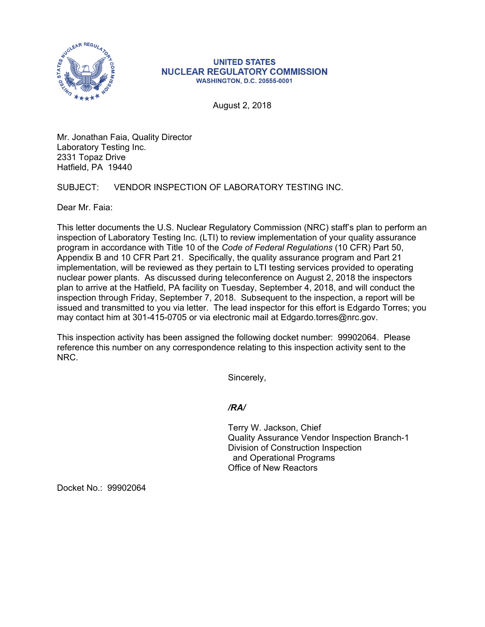

## **UNITED STATES NUCLEAR REGULATORY COMMISSION WASHINGTON, D.C. 20555-0001**

August 2, 2018

Mr. Jonathan Faia, Quality Director Laboratory Testing Inc. 2331 Topaz Drive Hatfield, PA 19440

## SUBJECT: VENDOR INSPECTION OF LABORATORY TESTING INC.

Dear Mr. Faia:

This letter documents the U.S. Nuclear Regulatory Commission (NRC) staff's plan to perform an inspection of Laboratory Testing Inc. (LTI) to review implementation of your quality assurance program in accordance with Title 10 of the *Code of Federal Regulations* (10 CFR) Part 50, Appendix B and 10 CFR Part 21. Specifically, the quality assurance program and Part 21 implementation, will be reviewed as they pertain to LTI testing services provided to operating nuclear power plants. As discussed during teleconference on August 2, 2018 the inspectors plan to arrive at the Hatfield, PA facility on Tuesday, September 4, 2018, and will conduct the inspection through Friday, September 7, 2018. Subsequent to the inspection, a report will be issued and transmitted to you via letter. The lead inspector for this effort is Edgardo Torres; you may contact him at 301-415-0705 or via electronic mail at Edgardo.torres@nrc.gov.

This inspection activity has been assigned the following docket number: 99902064. Please reference this number on any correspondence relating to this inspection activity sent to the NRC.

Sincerely,

*/RA/* 

Terry W. Jackson, Chief Quality Assurance Vendor Inspection Branch-1 Division of Construction Inspection and Operational Programs Office of New Reactors

Docket No.: 99902064